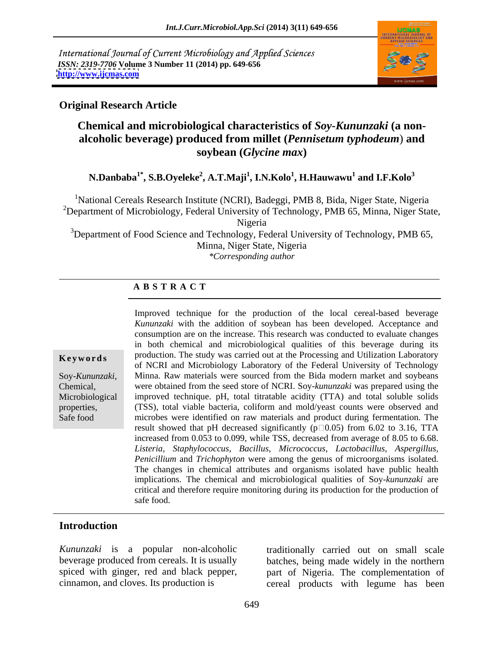International Journal of Current Microbiology and Applied Sciences *ISSN: 2319-7706* **Volume 3 Number 11 (2014) pp. 649-656 <http://www.ijcmas.com>**



### **Original Research Article**

## **Chemical and microbiological characteristics of** *Soy***-***Kununzaki* **(a non alcoholic beverage) produced from millet (***Pennisetum typhodeum*) **and soybean (***Glycine max***)**

### ${\bf N. Danbaba}^{1*}$ ,  ${\bf S. B. Oyeleke}^{2}$ ,  ${\bf A.T. Maji}^{1}$ ,  ${\bf I. N. Kolo}^{1}$ ,  ${\bf H. Hauwawu}^{1}$  and  ${\bf I. F. Kolo}^{3}$  **and I.F.Kolo<sup>3</sup>**

<sup>1</sup>National Cereals Research Institute (NCRI), Badeggi, PMB 8, Bida, Niger State, Nigeria <sup>2</sup>Department of Microbiology, Federal University of Technology, PMB 65, Minna, Niger State,

Nigeria

<sup>3</sup>Department of Food Science and Technology, Federal University of Technology, PMB 65, Minna, Niger State, Nigeria *\*Corresponding author*

### **A B S T R A C T**

**Keywords** production. The study was carried out at the Processing and Utilization Laboratory Soy-*Kununzaki,* Minna. Raw materials were sourced from the Bida modern market and soybeans Chemical, were obtained from the seed store of NCRI. Soy-*kununzaki* was prepared using the Microbiological improved technique. pH, total titratable acidity (TTA) and total soluble solids properties, (TSS), total viable bacteria, coliform and mold/yeast counts were observed and Safe food microbes were identified on raw materials and product during fermentation. The Improved technique for the production of the local cereal-based beverage *Kununzaki* with the addition of soybean has been developed. Acceptance and consumption are on the increase. This research was conducted to evaluate changes in both chemical and microbiological qualities of this beverage during its of NCRI and Microbiology Laboratory of the Federal University of Technology result showed that pH decreased significantly ( $p\Box 0.05$ ) from 6.02 to 3.16, TTA increased from 0.053 to 0.099, while TSS, decreased from average of 8.05 to 6.68. *Listeria, Staphylococcus, Bacillus, Micrococcus, Lactobacillus, Aspergillus, Penicillium* and *Trichophyton* were among the genus of microorganisms isolated. The changes in chemical attributes and organisms isolated have public health implications. The chemical and microbiological qualities of Soy-*kununzaki* are critical and therefore require monitoring during its production for the production of safe food.

### **Introduction**

*Kununzaki* is a popular non-alcoholic traditionally carried out on small scale

beverage produced from cereals. It is usually batches, being made widely in the northern spiced with ginger, red and black pepper, part of Nigeria. The complementation of cinnamon, and cloves. Its production is cereal products with legume has been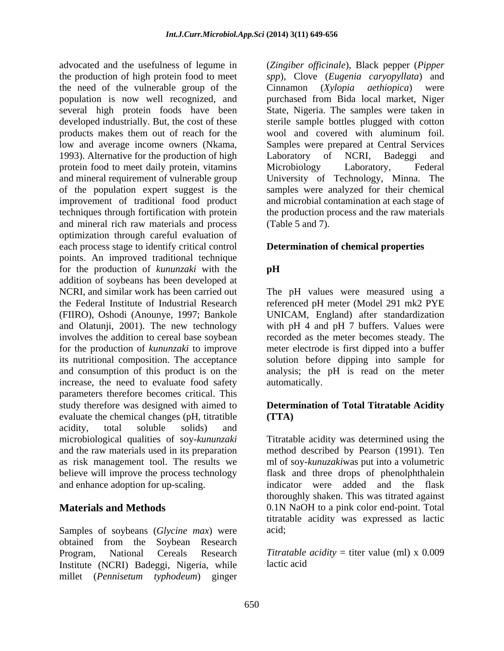advocated and the usefulness of legume in (*Zingiberofficinale*), Black pepper (*Pipper* the production of high protein food to meet *spp*), Clove (*Eugenia caryopyllata*) and the need of the vulnerable group of the Cinnamon (Xylopia aethiopica) were population is now well recognized, and purchased from Bida local market, Niger several high protein foods have been State, Nigeria. The samples were taken in developed industrially. But, the cost of these sterile sample bottles plugged with cotton products makes them out of reach for the wool and covered with aluminum foil. low and average income owners (Nkama, Samples were prepared at Central Services 1993). Alternative for the production of high Laboratory of NCRI, Badeggi and protein food to meet daily protein, vitamins Microbiology Laboratory, Federal and mineral requirement of vulnerable group University of Technology, Minna. The of the population expert suggest is the samples were analyzed for their chemical improvement of traditional food product and microbial contamination at each stage of techniques through fortification with protein the production process and the raw materials and mineral rich raw materials and process optimization through careful evaluation of each process stage to identify critical control points. An improved traditional technique for the production of *kununzaki* with the addition of soybeans has been developed at NCRI, and similar work has been carried out The pH values were measured using a the Federal Institute of Industrial Research referenced pH meter (Model 291 mk2 PYE (FIIRO), Oshodi (Anounye, 1997; Bankole and Olatunji, 2001). The new technology with pH 4 and pH 7 buffers. Values were involves the addition to cereal base soybean for the production of *kununzaki* to improve meter electrode is first dipped into a buffer its nutritional composition. The acceptance solution before dipping into sample for and consumption of this product is on the analysis; the pH is read on the meter increase, the need to evaluate food safety parameters therefore becomes critical. This study therefore was designed with aimed to **Determination of Total Titratable Acidity** evaluate the chemical changes (pH, titratible acidity, total soluble solids) and microbiological qualities of soy-*kununzaki* Titratable acidity was determined using the and the raw materials used in its preparation method described by Pearson (1991). Ten as risk management tool. The results we ml of soy-*kunuzaki*was put into a volumetric believe will improve the process technology flask and three drops of phenolphthalein

Samples of soybeans *(Glycine max)* were acid; obtained from the Soybean Research Program, National Cereals Research *Titratable acidity* = titer value (ml) x 0.009 Institute (NCRI) Badeggi, Nigeria, while millet (*Pennisetum typhodeum*) ginger

Cinnamon (*Xylopia aethiopica*) were Laboratory of NCRI, Badeggi and Microbiology Laboratory, Federal (Table 5 and 7).

### **Determination of chemical properties**

### **pH**

UNICAM, England) after standardization recorded as the meter becomes steady. The automatically.

# **(TTA)**

and enhance adoption for up-scaling. indicator were added and the flask **Materials and Methods** 0.1N NaOH to a pink color end-point. Total thoroughly shaken. This was titrated against titratable acidity was expressed as lactic acid;

lactic acid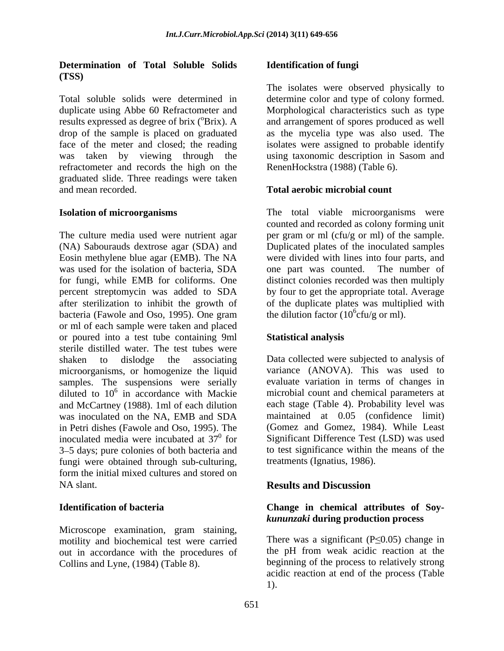### **Determination of Total Soluble Solids (TSS)**

Total soluble solids were determined in determine color and type of colony formed. duplicate using Abbe 60 Refractometer and Morphological characteristics such as type results expressed as degree of brix (<sup>o</sup>Brix). A and arrangement of spores produced as well drop of the sample is placed on graduated as the mycelia type was also used. The face of the meter and closed; the reading isolates were assigned to probable identify was taken by viewing through the using taxonomic description in Sasom and refractometer and records the high on the graduated slide. Three readings were taken and mean recorded. **Total aerobic microbial count**

The culture media used were nutrient agar per gram or ml (cfu/g or ml) of the sample. (NA) Sabourauds dextrose agar (SDA) and Duplicated plates of the inoculated samples Eosin methylene blue agar (EMB). The NA was used for the isolation of bacteria, SDA one part was counted. The number of for fungi, while EMB for coliforms. One distinct colonies recorded was then multiply percent streptomycin was added to SDA by four to get the appropriate total. Average after sterilization to inhibit the growth of of the duplicate plates was multiplied with bacteria (Fawole and Oso, 1995). One gram the dilution factor ( $10^6$ cfu/g or ml). or ml of each sample were taken and placed or poured into a test tube containing 9ml sterile distilled water. The test tubes were shaken to dislodge the associating Data collected were subjected to analysis of microorganisms, or homogenize the liquid samples. The suspensions were serially diluted to  $10^6$  in accordance with Mackie and McCartney (1988). 1ml of each dilution was inoculated on the NA, EMB and SDA in Petri dishes (Fawole and Oso, 1995). The inoculated media were incubated at  $37<sup>0</sup>$  for Significant Difference Test (LSD) was used 3 5 days; pure colonies of both bacteria and fungi were obtained through sub-culturing,<br>form the initial mixed cultures and stored on form the initial mixed cultures and stored on NA slant. **Results and Discussion** 

Microscope examination, gram staining, motility and biochemical test were carried out in accordance with the procedures of Collins and Lyne, (1984) (Table 8).

### **Identification of fungi**

The isolates were observed physically to RenenHockstra (1988) (Table 6).

**Isolation of microorganisms** The total viable microorganisms were counted and recorded as colony forming unit were divided with lines into four parts, and one part was counted. the dilution factor ( $10^6$ cfu/g or ml).  $cfu/g$  or ml).

### **Statistical analysis**

<sup>6</sup> in accordance with Mackie microbial count and chemical parameters at variance (ANOVA). This was used to evaluate variation in terms of changes in each stage (Table 4). Probability level was maintained at 0.05 (confidence limit) (Gomez and Gomez, 1984). While Least to test significance within the means of the treatments (Ignatius, 1986).

### **Results and Discussion**

### **Identification of bacteria Change in chemical attributes of Soy** *kununzaki* **during production process**

There was a significant ( $P \le 0.05$ ) change in the pH from weak acidic reaction at the beginning of the process to relatively strong acidic reaction at end of the process (Table 1).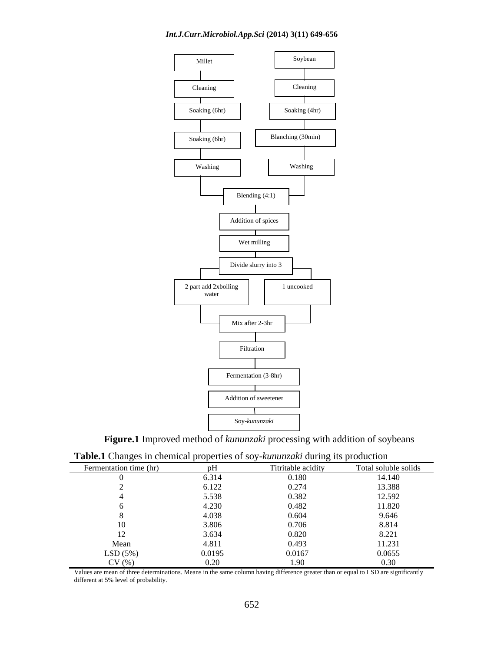### *Int.J.Curr.Microbiol.App.Sci* **(2014) 3(11) 649-656**



**Figure.1** Improved method of *kununzaki* processing with addition of soybeans

| <b>TWORCH CHANGED IN CHUINGAL PLOPUTION OF SOY NUMBER, AND CHANGED PLOCKCHON</b> |               |                    |                                       |
|----------------------------------------------------------------------------------|---------------|--------------------|---------------------------------------|
| ermentation time (hr)                                                            |               | Titritable acidity | Total soluble solids                  |
|                                                                                  | 6.314         | 0.180              | 14.140                                |
|                                                                                  | 6.122         | 0.274              | 13.388                                |
|                                                                                  | 5.538         | 0.382              | 12.592                                |
|                                                                                  | 4.230         | 0.482              | 11.820                                |
|                                                                                  | 4.038         | 0.604              | 9.646                                 |
|                                                                                  | 3.806         | 0.706              | 8.814                                 |
|                                                                                  | 3.634         | 0.820              | 8.221                                 |
| Mean                                                                             | 4.811         | 0.493              | 11.231                                |
| LSD(5%)                                                                          | 0.0195        | 0.0167             | 0.0655                                |
| CV(9)                                                                            | $  -$<br>,,,, | .<br>1.90          | 0.30<br>$\mathbf{v} \cdot \mathbf{v}$ |

**Table.1** Changes in chemical properties of soy-*kununzaki* during its production

Values are mean of three determinations. Means in the same column having difference greater than or equal to LSD are significantly different at 5% level of probability.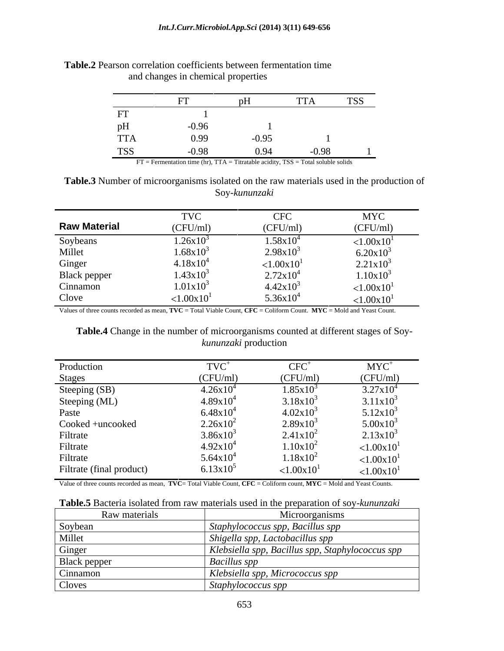|                                                 |         |         | $\mathbf{I} \mathbf{I} \mathbf{A}$ | <b>TSS</b> |
|-------------------------------------------------|---------|---------|------------------------------------|------------|
| FT                                              |         |         |                                    |            |
| pH<br>$\sim$ $\sim$ $\sim$ $\sim$ $\sim$ $\sim$ | $-0.96$ |         |                                    |            |
| <b>TTA</b>                                      | 0.99    | $-0.95$ |                                    |            |
| <b>TSS</b>                                      | $-0.98$ | 0.94    | $-0.98$                            |            |

**Table.2** Pearson correlation coefficients between fermentation time and changes in chemical properties

FT = Fermentation time (hr), TTA = Titratable acidity, TSS = Total soluble solids

**Table.3** Number of microorganisms isolated on the raw materials used in the production of Soy-*kununzaki*

|                          | $1$ Y C                | <b>CFC</b>                                 | <b>MYC</b>                                                                                          |
|--------------------------|------------------------|--------------------------------------------|-----------------------------------------------------------------------------------------------------|
| <b>Raw Material</b>      | (CFU/ml)               | (CFU/ml)                                   | (CFU/ml)                                                                                            |
|                          | $1.26x10^{3}$          | $1.58x10^{4}$                              |                                                                                                     |
| Soybeans<br>Millet       | $1.68x10^{3}$          | $2.98x10^3$                                | $\begin{array}{c}\n & < 1.00 \times 10^1 \\ & 6.20 \times 10^3 \\ & 2.21 \times 10^3\n \end{array}$ |
| Ginger                   | $4.18 \times 10^{4}$   | ${<}1.00x10$ <sup>1</sup>                  |                                                                                                     |
| Black pepper<br>Cinnamon | $1.43x10^{3}$          |                                            |                                                                                                     |
|                          | $1.01x10^{3}$          | $2.72 \times 10^4$<br>4.42x10 <sup>3</sup> |                                                                                                     |
| Clove                    | < 1.00x10 <sup>1</sup> | $5.36x10^{4}$                              | $\begin{array}{c} 1.10 \text{x} 10^3 \\ < 1.00 \text{x} 10^1 \\ < 1.00 \text{x} 10^1 \end{array}$   |

Values of three counts recorded as mean, **TVC** = Total Viable Count, **CFC** = Coliform Count. **MYC** = Mold and Yeast Count.

**Table.4** Change in the number of microorganisms counted at different stages of Soy *kununzaki* production

| Production               | $TVC^+$              | <b>CFC</b>                | $MYC^+$                                         |
|--------------------------|----------------------|---------------------------|-------------------------------------------------|
| <b>Stages</b>            | (CFU/ml)             | (CFU/ml)                  | (CFU/ml)                                        |
| Steeping (SB)            | $4.26x10^{4}$        | $1.85x10^{3}$             | $3.27x10^4$                                     |
| Steeping (ML)            | $4.89x10^{4}$        | $3.18x10^3$               | $3.11x10^3$                                     |
| Paste                    | $6.48x10^{4}$        | $4.02x10^{3}$             | $5.12x10^3$                                     |
| Cooked +uncooked         | $2.26x10^2$          | $2.89x10^3$               | $5.00x10^3$                                     |
| Filtrate                 | $3.86x10^3$          | $2.41x10^2$               | $2.13x10^3$                                     |
| Filtrate                 | $4.92x10^4$          | $1.10x10^2$               |                                                 |
| Filtrate                 | $5.64 \times 10^{4}$ | $1.18x10^2$               | $\frac{1.00 \times 10^{1}}{1.00 \times 10^{1}}$ |
| Filtrate (final product) | $6.13x10^5$          | ${<}1.00x10$ <sup>1</sup> | ${<}1.00x10$ <sup>1</sup>                       |

Value of three counts recorded as mean, **TVC**= Total Viable Count, **CFC** = Coliform count, **MYC** = Mold and Yeast Counts.

| Raw materials       | Microorganisms                                   |
|---------------------|--------------------------------------------------|
| Soybean             | Staphylococcus spp, Bacillus spp                 |
| Millet              | Shigella spp, Lactobacillus spp                  |
| Ginger              | Klebsiella spp, Bacillus spp, Staphylococcus spp |
| <b>Black pepper</b> | Bacillus spp                                     |
| Cinnamon            | Klebsiella spp, Micrococcus spp                  |
| Cloves              | Staphylococcus spp                               |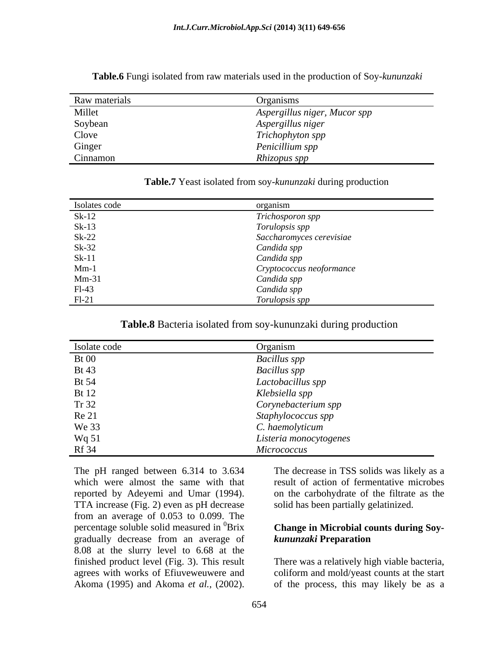| Raw materials | <b>J</b> rganisms                                   |
|---------------|-----------------------------------------------------|
| Millet        | Aspergillus niger, Mucor spp                        |
| Soybean       | Aspergillus niger                                   |
| Clove         |                                                     |
| Ginger        | Trichophyton spp<br>Penicillium spp<br>$\mathbf{r}$ |
| Cinnamon      | Rhizopus spp                                        |

**Table.6** Fungi isolated from raw materials used in the production of Soy-*kununzaki*

| ' Yeas<br>Table.7<br>reast isolated from soy-kununzaki during production |  |
|--------------------------------------------------------------------------|--|
|                                                                          |  |

| Isolates code                 | organism                                   |
|-------------------------------|--------------------------------------------|
| $Sk-12$<br>$Sk-13$<br>$Sk-22$ | Trichosporon spp                           |
|                               |                                            |
|                               | Torulopsis spp<br>Saccharomyces cerevisiae |
| $Sk-32$                       | Candida spp                                |
| $Sk-11$                       | Candida spp                                |
| $Mm-1$                        | Cryptococcus neoformance                   |
| $Mm-31$                       | Candida spp                                |
| $F1-43$                       | Candida spp                                |
| $F1-21$                       | Torulopsis spp                             |

### **Table.8** Bacteria isolated from soy-kununzaki during production

| Isolate code | Organism               |
|--------------|------------------------|
| <b>Bt</b> 00 | <b>Bacillus</b> spp    |
| <b>Bt</b> 43 | <b>Bacillus</b> spp    |
| <b>Bt</b> 54 | Lactobacillus spp      |
| <b>Bt</b> 12 | Klebsiella spp         |
| Tr 32        | Corynebacterium spp    |
| <b>Re 21</b> | Staphylococcus spp     |
| We 33        | C. haemolyticum        |
| Wq 51        | Listeria monocytogenes |
| <b>Rf</b> 34 | <b>Micrococcus</b>     |

which were almost the same with that reported by Adeyemi and Umar (1994). TTA increase (Fig. 2) even as pH decrease from an average of 0.053 to 0.099. The percentage soluble solid measured in  ${}^{0}$ Brix percentage soluble solid measured in 0Brix **Change in Microbial counts during Soy** gradually decrease from an average of *kununzaki* Preparation 8.08 at the slurry level to 6.68 at the finished product level (Fig. 3). This result There was a relatively high viable bacteria, agrees with works of Efiuveweuwere and The pH ranged between 6.314 to 3.634 The decrease in TSS solids was likely as a<br>which were almost the same with that result of action of fermentative microbes<br>reported by Adeyemi and Umar (1994). On the carbohydrate of the

The pH ranged between 6.314 to 3.634 The decrease in TSS solids was likely as a result of action of fermentative microbes on the carbohydrate of the filtrate as the solid has been partially gelatinized.

## *kununzaki* **Preparation**

coliform and mold/yeast counts at the start of the process, this may likely be as a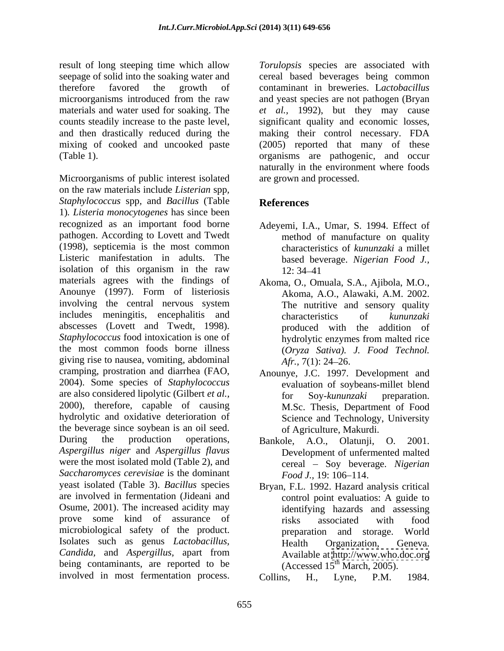result of long steeping time which allow *Torulopsis* species are associated with seepage of solid into the soaking water and cereal based beverages being common therefore favored the growth of contaminant in breweries. L*actobacillus*  microorganisms introduced from the raw and yeast species are not pathogen (Bryan materials and water used for soaking. The et al., 1992), but they may cause counts steadily increase to the paste level, significant quality and economic losses, and then drastically reduced during the making their control necessary. FDA mixing of cooked and uncooked paste (2005) reported that many of these (Table 1). organisms are pathogenic, and occur

Microorganisms of public interest isolated on the raw materials include *Listerian* spp*, Staphylococcus* spp*,* and *Bacillus* (Table 1)*. Listeria monocytogenes* has since been recognized as an important food borne Adeyemi, I.A., Umar, S. 1994. Effect of pathogen. According to Lovett and Twedt (1998), septicemia is the most common Listeric manifestation in adults. The based beverage. *Nigerian Food J.,* isolation of this organism in the raw  $12:34-41$ materials agrees with the findings of Anounye (1997). Form of listeriosis involving the central nervous system The nutritive and sensory quality includes meningitis, encephalitis and characteristics of kununzaki abscesses (Lovett and Twedt, 1998). *Staphylococcus* food intoxication is one of hydrolytic enzymes from malted rice the most common foods borne illness giving rise to nausea, vomiting, abdominal  $Afr.$  7(1): 24–26. cramping, prostration and diarrhea (FAO, Anounye, J.C. 1997. Development and 2004). Some species of *Staphylococcus*  are also considered lipolytic (Gilbert *et al.,* 2000), therefore, capable of causing hydrolytic and oxidative deterioration of the beverage since soybean is an oil seed. During the production operations, Bankole, A.O., Olatunji, O. 2001. *Aspergillus niger* and *Aspergillus flavus* were the most isolated mold (Table 2), and *Saccharomyces cerevisiae* is the dominant yeast isolated (Table 3). *Bacillus* species are involved in fermentation (Jideani and Osume, 2001). The increased acidity may prove some kind of assurance of **risks** associated with food microbiological safety of the product. Isolates such as genus *Lactobacillus, Candida,* and *Aspergillus,* apart from being contaminants, are reported to be involved in most fermentation process. Collins, H., Lyne, P.M. 1984.

naturally in the environment where foods are grown and processed.

### **References**

- method of manufacture on quality characteristics of *kununzaki* a millet 12: 34 41
- Akoma, O., Omuala, S.A., Ajibola, M.O., Akoma, A.O., Alawaki, A.M. 2002. The nutritive and sensory quality characteristics of *kununzaki*  produced with the addition of hydrolytic enzymes from malted rice (*Oryza Sativa). J. Food Technol. Afr.,* 7(1): 24–26.
- evaluation of soybeans-millet blend for Soy-*kununzaki* preparation. M.Sc. Thesis, Department of Food Science and Technology, University of Agriculture, Makurdi.
- Development of unfermented malted cereal – Soy beverage. *Nigerian Food J.,* 19: 106–114.
- Bryan, F.L. 1992. Hazard analysis critical control point evaluatios: A guide to identifying hazards and assessing risks associated with food preparation and storage. World Health Organization, Geneva. Available at <http://www.who.doc.org> (Accessed  $15<sup>th</sup> March, 2005$ ).

Collins, H., Lyne, P.M. 1984.